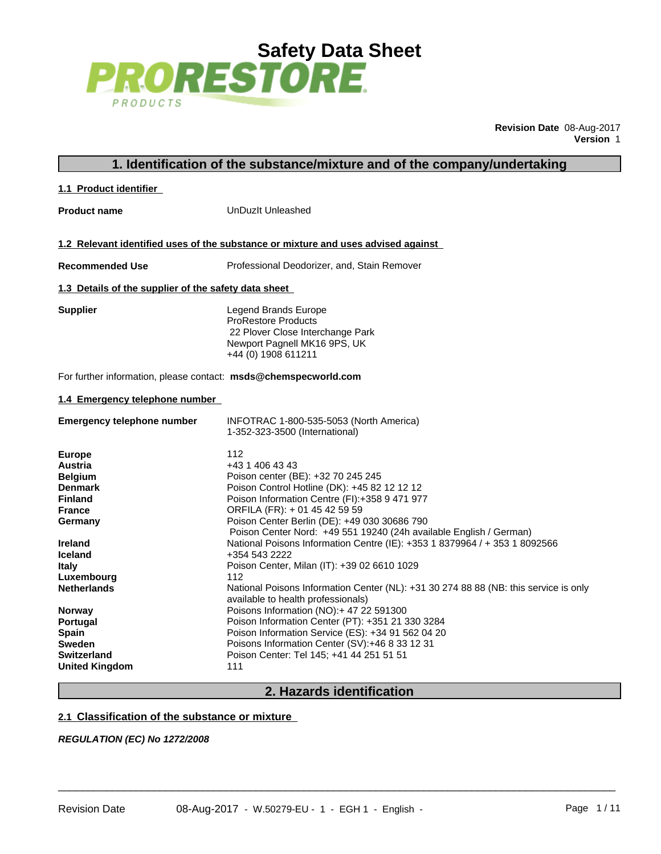

**Revision Date** 08-Aug-2017 **Version** 1

# **1. Identification of the substance/mixture and of the company/undertaking**

### **1.1 Product identifier**

**Product name** UnDuzIt Unleashed

**1.2 Relevant identified uses of the substance or mixture and uses advised against**

**Recommended Use** Professional Deodorizer, and, Stain Remover

### **1.3 Details of the supplier of the safety data sheet**

**Supplier** Legend Brands Europe ProRestore Products 22 Plover Close Interchange Park Newport Pagnell MK16 9PS, UK +44 (0) 1908 611211

For further information, please contact: **msds@chemspecworld.com**

# **1.4 Emergency telephone number**

| <b>Emergency telephone number</b> | INFOTRAC 1-800-535-5053 (North America)<br>1-352-323-3500 (International)                                                  |
|-----------------------------------|----------------------------------------------------------------------------------------------------------------------------|
| <b>Europe</b><br>112              |                                                                                                                            |
| <b>Austria</b>                    | +43 1 406 43 43                                                                                                            |
| <b>Belgium</b>                    | Poison center (BE): +32 70 245 245                                                                                         |
| <b>Denmark</b>                    | Poison Control Hotline (DK): +45 82 12 12 12                                                                               |
| <b>Finland</b>                    | Poison Information Centre (FI):+358 9 471 977                                                                              |
| <b>France</b>                     | ORFILA (FR): + 01 45 42 59 59                                                                                              |
| Germany                           | Poison Center Berlin (DE): +49 030 30686 790                                                                               |
|                                   | Poison Center Nord: +49 551 19240 (24h available English / German)                                                         |
| <b>Ireland</b>                    | National Poisons Information Centre (IE): +353 1 8379964 / + 353 1 8092566                                                 |
| <b>Iceland</b>                    | +354 543 2222                                                                                                              |
| <b>Italy</b>                      | Poison Center, Milan (IT): +39 02 6610 1029                                                                                |
| 112<br>Luxembourg                 |                                                                                                                            |
| <b>Netherlands</b>                | National Poisons Information Center (NL): +31 30 274 88 88 (NB: this service is only<br>available to health professionals) |
| <b>Norway</b>                     | Poisons Information (NO): + 47 22 591300                                                                                   |
| Portugal                          | Poison Information Center (PT): +351 21 330 3284                                                                           |
| <b>Spain</b>                      | Poison Information Service (ES): +34 91 562 04 20                                                                          |
| <b>Sweden</b>                     | Poisons Information Center (SV):+46 8 33 12 31                                                                             |
| <b>Switzerland</b>                | Poison Center: Tel 145; +41 44 251 51 51                                                                                   |
| 111<br><b>United Kingdom</b>      |                                                                                                                            |

# **2. Hazards identification**

 $\overline{\phantom{a}}$  ,  $\overline{\phantom{a}}$  ,  $\overline{\phantom{a}}$  ,  $\overline{\phantom{a}}$  ,  $\overline{\phantom{a}}$  ,  $\overline{\phantom{a}}$  ,  $\overline{\phantom{a}}$  ,  $\overline{\phantom{a}}$  ,  $\overline{\phantom{a}}$  ,  $\overline{\phantom{a}}$  ,  $\overline{\phantom{a}}$  ,  $\overline{\phantom{a}}$  ,  $\overline{\phantom{a}}$  ,  $\overline{\phantom{a}}$  ,  $\overline{\phantom{a}}$  ,  $\overline{\phantom{a}}$ 

## **2.1 Classification of the substance or mixture**

*REGULATION (EC) No 1272/2008*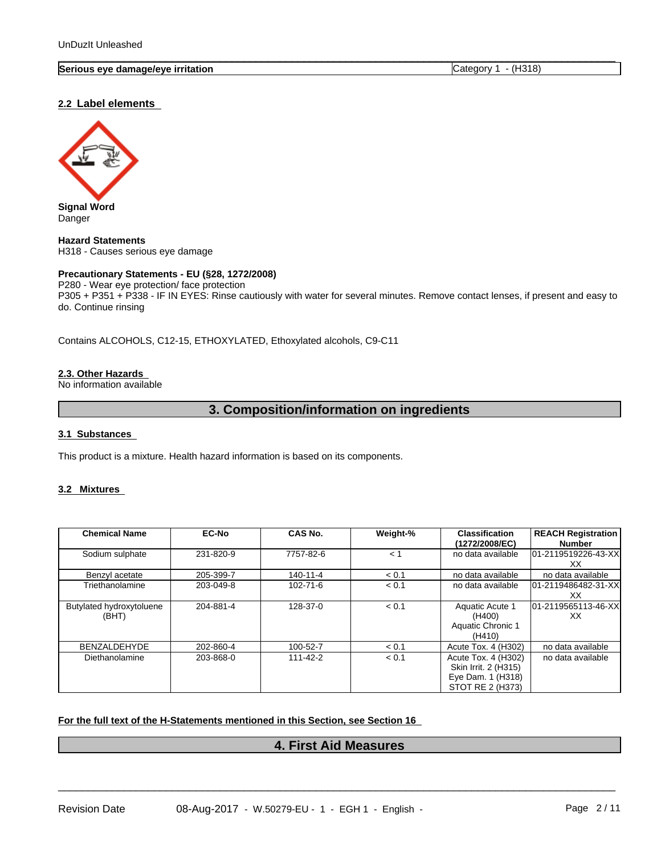## **Serious eye damage/eye irritation** Category 1 - (H318)

## **2.2 Label elements**



**Signal Word** Danger

**Hazard Statements** H318 - Causes serious eye damage

## **Precautionary Statements - EU (§28, 1272/2008)**

P280 - Wear eye protection/ face protection P305 + P351 + P338 - IF IN EYES: Rinse cautiously with water forseveral minutes. Remove contact lenses, if present and easy to do. Continue rinsing

 $\overline{\phantom{a}}$  ,  $\overline{\phantom{a}}$  ,  $\overline{\phantom{a}}$  ,  $\overline{\phantom{a}}$  ,  $\overline{\phantom{a}}$  ,  $\overline{\phantom{a}}$  ,  $\overline{\phantom{a}}$  ,  $\overline{\phantom{a}}$  ,  $\overline{\phantom{a}}$  ,  $\overline{\phantom{a}}$  ,  $\overline{\phantom{a}}$  ,  $\overline{\phantom{a}}$  ,  $\overline{\phantom{a}}$  ,  $\overline{\phantom{a}}$  ,  $\overline{\phantom{a}}$  ,  $\overline{\phantom{a}}$ 

Contains ALCOHOLS, C12-15, ETHOXYLATED, Ethoxylated alcohols, C9-C11

# **2.3. Other Hazards**

No information available

# **3. Composition/information on ingredients**

# **3.1 Substances**

This product is a mixture. Health hazard information is based on its components.

#### **3.2 Mixtures**

| <b>Chemical Name</b>              | <b>EC-No</b> | CAS No.        | Weight-% | <b>Classification</b><br>(1272/2008/EC)                                              | <b>REACH Registration</b><br>Number |
|-----------------------------------|--------------|----------------|----------|--------------------------------------------------------------------------------------|-------------------------------------|
| Sodium sulphate                   | 231-820-9    | 7757-82-6      | < 1      | no data available                                                                    | l01-2119519226-43-XXl<br>XX.        |
| Benzyl acetate                    | 205-399-7    | 140-11-4       | < 0.1    | no data available                                                                    | no data available                   |
| Triethanolamine                   | 203-049-8    | $102 - 71 - 6$ | < 0.1    | no data available                                                                    | l01-2119486482-31-XXl<br>XX.        |
| Butylated hydroxytoluene<br>(BHT) | 204-881-4    | 128-37-0       | < 0.1    | Aquatic Acute 1<br>(H400)<br>Aquatic Chronic 1<br>(H410)                             | 01-2119565113-46-XXI<br>XX.         |
| BENZALDEHYDE                      | 202-860-4    | 100-52-7       | < 0.1    | Acute Tox. 4 (H302)                                                                  | no data available                   |
| Diethanolamine                    | 203-868-0    | 111-42-2       | < 0.1    | Acute Tox. 4 (H302)<br>Skin Irrit. 2 (H315)<br>Eye Dam. 1 (H318)<br>STOT RE 2 (H373) | no data available                   |

#### **For the full text of the H-Statements mentioned in this Section, see Section 16**

# **4. First Aid Measures**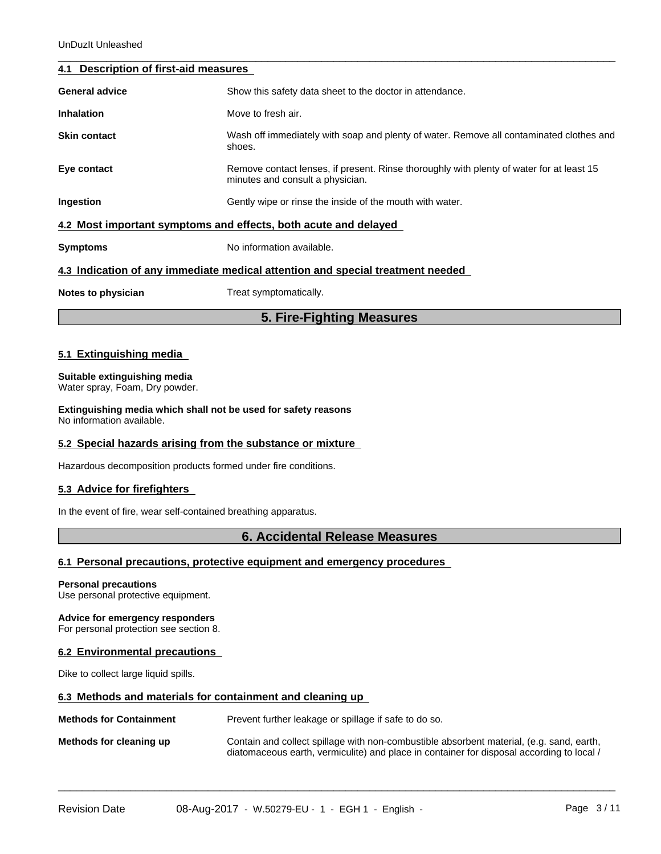## **4.1 Description of first-aid measures**

|                       | 5. Fire-Fighting Measures                                                                                                    |
|-----------------------|------------------------------------------------------------------------------------------------------------------------------|
| Notes to physician    | Treat symptomatically.                                                                                                       |
|                       | 4.3 Indication of any immediate medical attention and special treatment needed                                               |
| <b>Symptoms</b>       | No information available.                                                                                                    |
|                       | 4.2 Most important symptoms and effects, both acute and delayed                                                              |
| Ingestion             | Gently wipe or rinse the inside of the mouth with water.                                                                     |
| Eye contact           | Remove contact lenses, if present. Rinse thoroughly with plenty of water for at least 15<br>minutes and consult a physician. |
| <b>Skin contact</b>   | Wash off immediately with soap and plenty of water. Remove all contaminated clothes and<br>shoes.                            |
| <b>Inhalation</b>     | Move to fresh air.                                                                                                           |
| <b>General advice</b> | Show this safety data sheet to the doctor in attendance.                                                                     |
|                       |                                                                                                                              |

 $\overline{\phantom{a}}$  ,  $\overline{\phantom{a}}$  ,  $\overline{\phantom{a}}$  ,  $\overline{\phantom{a}}$  ,  $\overline{\phantom{a}}$  ,  $\overline{\phantom{a}}$  ,  $\overline{\phantom{a}}$  ,  $\overline{\phantom{a}}$  ,  $\overline{\phantom{a}}$  ,  $\overline{\phantom{a}}$  ,  $\overline{\phantom{a}}$  ,  $\overline{\phantom{a}}$  ,  $\overline{\phantom{a}}$  ,  $\overline{\phantom{a}}$  ,  $\overline{\phantom{a}}$  ,  $\overline{\phantom{a}}$ 

## **5.1 Extinguishing media**

#### **Suitable extinguishing media** Water spray, Foam, Dry powder.

**Extinguishing media which shall not be used for safety reasons** No information available.

### **5.2 Special hazards arising from the substance or mixture**

Hazardous decomposition products formed under fire conditions.

## **5.3 Advice for firefighters**

In the event of fire, wear self-contained breathing apparatus.

# **6. Accidental Release Measures**

## **6.1 Personal precautions, protective equipment and emergency procedures**

#### **Personal precautions**

Use personal protective equipment.

### **Advice for emergency responders**

For personal protection see section 8.

## **6.2 Environmental precautions**

Dike to collect large liquid spills.

### **6.3 Methods and materials for containment and cleaning up**

**Methods for Containment** Prevent further leakage or spillage if safe to do so.

**Methods for cleaning up** Contain and collect spillage with non-combustible absorbent material, (e.g. sand, earth, diatomaceous earth, vermiculite) and place in container for disposal according to local /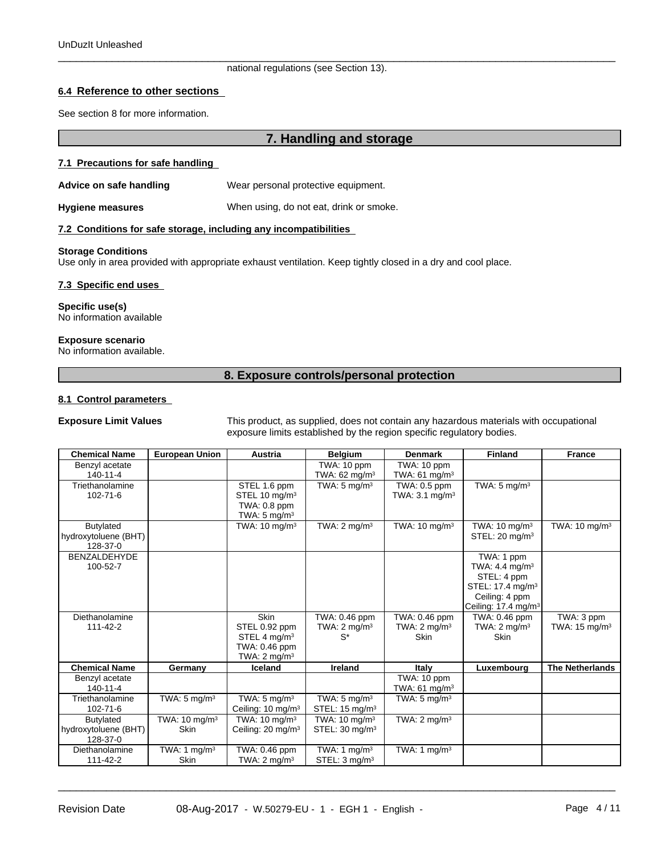#### $\overline{\phantom{a}}$  ,  $\overline{\phantom{a}}$  ,  $\overline{\phantom{a}}$  ,  $\overline{\phantom{a}}$  ,  $\overline{\phantom{a}}$  ,  $\overline{\phantom{a}}$  ,  $\overline{\phantom{a}}$  ,  $\overline{\phantom{a}}$  ,  $\overline{\phantom{a}}$  ,  $\overline{\phantom{a}}$  ,  $\overline{\phantom{a}}$  ,  $\overline{\phantom{a}}$  ,  $\overline{\phantom{a}}$  ,  $\overline{\phantom{a}}$  ,  $\overline{\phantom{a}}$  ,  $\overline{\phantom{a}}$ national regulations (see Section 13).

## **6.4 Reference to other sections**

See section 8 for more information.

# **7. Handling and storage**

#### **7.1 Precautions for safe handling**

**Advice on safe handling** Wear personal protective equipment.

**Hygiene measures** When using, do not eat, drink or smoke.

#### **7.2 Conditions for safe storage, including any incompatibilities**

#### **Storage Conditions**

Use only in area provided with appropriate exhaust ventilation. Keep tightly closed in a dry and cool place.

#### **7.3 Specific end uses**

**Specific use(s)** No information available

#### **Exposure scenario**

No information available.

#### **8. Exposure controls/personal protection**

### **8.1 Control parameters**

**Exposure Limit Values** This product, as supplied, does not contain any hazardous materials with occupational exposure limits established by the region specific regulatory bodies.

| <b>Chemical Name</b>                                 | <b>European Union</b>                   | <b>Austria</b>                                                                                       | <b>Belgium</b>                                         | <b>Denmark</b>                                          | <b>Finland</b>                                                                                                                               | <b>France</b>                          |
|------------------------------------------------------|-----------------------------------------|------------------------------------------------------------------------------------------------------|--------------------------------------------------------|---------------------------------------------------------|----------------------------------------------------------------------------------------------------------------------------------------------|----------------------------------------|
| Benzyl acetate<br>140-11-4                           |                                         |                                                                                                      | TWA: 10 ppm<br>TWA: $62 \text{ mg/m}^3$                | TWA: 10 ppm<br>TWA: $61 \text{ mg/m}^3$                 |                                                                                                                                              |                                        |
| Triethanolamine<br>102-71-6                          |                                         | STEL 1.6 ppm<br>STEL 10 $mg/m3$<br>TWA: 0.8 ppm<br>TWA: $5 \text{ mg/m}^3$                           | TWA: $5 \text{ mg/m}^3$                                | TWA: 0.5 ppm<br>TWA: $3.1 \text{ mg/m}^3$               | TWA: $5 \text{ mg/m}^3$                                                                                                                      |                                        |
| Butylated<br>hydroxytoluene (BHT)<br>128-37-0        |                                         | TWA: $10 \text{ mg/m}^3$                                                                             | TWA: $2 \text{ mg/m}^3$                                | TWA: $10 \text{ mg/m}^3$                                | TWA: $10 \text{ mg/m}^3$<br>STEL: 20 mg/m <sup>3</sup>                                                                                       | TWA: $10 \text{ mg/m}^3$               |
| <b>BENZALDEHYDE</b><br>100-52-7                      |                                         |                                                                                                      |                                                        |                                                         | TWA: 1 ppm<br>TWA: 4.4 mg/m <sup>3</sup><br>STEL: 4 ppm<br>STEL: 17.4 mg/m <sup>3</sup><br>Ceiling: 4 ppm<br>Ceiling: 17.4 mg/m <sup>3</sup> |                                        |
| Diethanolamine<br>111-42-2                           |                                         | <b>Skin</b><br>STEL 0.92 ppm<br>STEL 4 mg/m <sup>3</sup><br>TWA: 0.46 ppm<br>TWA: $2 \text{ mg/m}^3$ | TWA: 0.46 ppm<br>TWA: $2 \text{ mg/m}^3$<br>s*         | TWA: 0.46 ppm<br>TWA: $2 \text{ mq/m}^3$<br><b>Skin</b> | TWA: 0.46 ppm<br>TWA: $2 \text{ mg/m}^3$<br><b>Skin</b>                                                                                      | TWA: 3 ppm<br>TWA: $15 \text{ mg/m}^3$ |
| <b>Chemical Name</b>                                 | Germany                                 | Iceland                                                                                              | <b>Ireland</b>                                         | Italy                                                   | Luxembourg                                                                                                                                   | <b>The Netherlands</b>                 |
| Benzyl acetate<br>$140 - 11 - 4$                     |                                         |                                                                                                      |                                                        | TWA: 10 ppm<br>TWA: 61 mg/m <sup>3</sup>                |                                                                                                                                              |                                        |
| Triethanolamine<br>102-71-6                          | TWA: $5 \text{ mg/m}^3$                 | TWA: $5 \text{ mg/m}^3$<br>Ceiling: 10 mg/m <sup>3</sup>                                             | TWA: $5 \text{ mg/m}^3$<br>STEL: $15 \text{ mg/m}^3$   | TWA: $5 \text{ mg/m}^3$                                 |                                                                                                                                              |                                        |
| <b>Butylated</b><br>hydroxytoluene (BHT)<br>128-37-0 | TWA: $10 \text{ mg/m}^3$<br><b>Skin</b> | TWA: $10 \text{ mg/m}^3$<br>Ceiling: 20 mg/m <sup>3</sup>                                            | TWA: $10 \text{ mg/m}^3$<br>STEL: 30 mg/m <sup>3</sup> | TWA: $2 \text{ mg/m}^3$                                 |                                                                                                                                              |                                        |
| Diethanolamine<br>111-42-2                           | TWA: 1 $mg/m3$<br><b>Skin</b>           | TWA: 0.46 ppm<br>TWA: $2 \text{ mg/m}^3$                                                             | TWA: 1 $mg/m3$<br>STEL: 3 mg/m <sup>3</sup>            | TWA: 1 $mq/m3$                                          |                                                                                                                                              |                                        |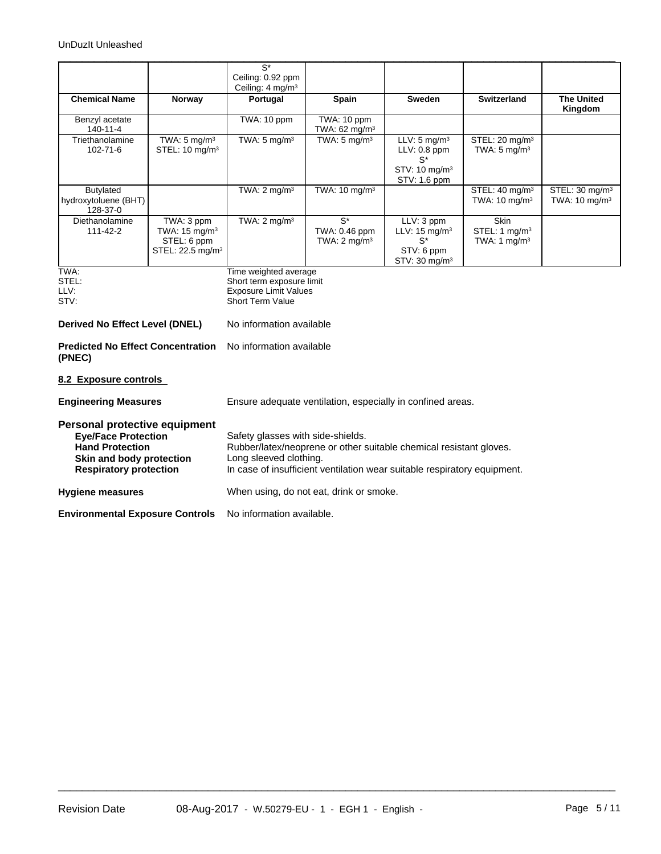|                                                                                                                                                    |                                                                                       | $\overline{S^*}$<br>Ceiling: 0.92 ppm<br>Ceiling: $4 \text{ mg/m}^3$                                                                                                                                          |                                                              |                                                                                                    |                                                             |                                                        |  |
|----------------------------------------------------------------------------------------------------------------------------------------------------|---------------------------------------------------------------------------------------|---------------------------------------------------------------------------------------------------------------------------------------------------------------------------------------------------------------|--------------------------------------------------------------|----------------------------------------------------------------------------------------------------|-------------------------------------------------------------|--------------------------------------------------------|--|
| <b>Chemical Name</b>                                                                                                                               | Norway                                                                                | Portugal                                                                                                                                                                                                      | Spain                                                        | <b>Sweden</b>                                                                                      | <b>Switzerland</b>                                          | <b>The United</b><br>Kingdom                           |  |
| Benzyl acetate<br>140-11-4                                                                                                                         |                                                                                       | TWA: 10 ppm                                                                                                                                                                                                   | TWA: 10 ppm<br>TWA: $62 \text{ mg/m}^3$                      |                                                                                                    |                                                             |                                                        |  |
| Triethanolamine<br>102-71-6                                                                                                                        | TWA: $5 \text{ mg/m}^3$<br>STEL: 10 mg/m <sup>3</sup>                                 | TWA: $5 \text{ mg/m}^3$                                                                                                                                                                                       | TWA: $5 \text{ mg/m}^3$                                      | $LLV: 5$ mg/m <sup>3</sup><br>$LLV: 0.8$ ppm<br>$S^*$<br>STV: 10 mg/m <sup>3</sup><br>STV: 1.6 ppm | STEL: 20 mg/m <sup>3</sup><br>TWA: $5 \text{ mg/m}^3$       |                                                        |  |
| Butylated<br>hydroxytoluene (BHT)<br>128-37-0                                                                                                      |                                                                                       | TWA: $2 \text{ mg/m}^3$                                                                                                                                                                                       | TWA: 10 mg/m <sup>3</sup>                                    |                                                                                                    | STEL: 40 mg/m <sup>3</sup><br>TWA: $10 \text{ mg/m}^3$      | STEL: 30 mg/m <sup>3</sup><br>TWA: $10 \text{ mg/m}^3$ |  |
| <b>Diethanolamine</b><br>$111 - 42 - 2$                                                                                                            | TWA: 3 ppm<br>TWA: $15 \text{ mg/m}^3$<br>STEL: 6 ppm<br>STEL: 22.5 mg/m <sup>3</sup> | TWA: $2 \text{ mg/m}^3$                                                                                                                                                                                       | $\overline{S^*}$<br>TWA: 0.46 ppm<br>TWA: $2 \text{ mg/m}^3$ | LLV: 3 ppm<br>LLV: $15 \text{ mg/m}^3$<br>S*<br>STV: 6 ppm<br>STV: $30 \text{ mg/m}^3$             | <b>Skin</b><br>STEL: 1 mg/m <sup>3</sup><br>TWA: 1 mg/m $3$ |                                                        |  |
| TWA:<br>STEL:<br>LLV:<br>STV:                                                                                                                      |                                                                                       | Time weighted average<br>Short term exposure limit<br><b>Exposure Limit Values</b><br><b>Short Term Value</b>                                                                                                 |                                                              |                                                                                                    |                                                             |                                                        |  |
| <b>Derived No Effect Level (DNEL)</b>                                                                                                              |                                                                                       | No information available                                                                                                                                                                                      |                                                              |                                                                                                    |                                                             |                                                        |  |
| <b>Predicted No Effect Concentration</b><br>(PNEC)                                                                                                 |                                                                                       | No information available                                                                                                                                                                                      |                                                              |                                                                                                    |                                                             |                                                        |  |
| 8.2 Exposure controls                                                                                                                              |                                                                                       |                                                                                                                                                                                                               |                                                              |                                                                                                    |                                                             |                                                        |  |
| <b>Engineering Measures</b>                                                                                                                        |                                                                                       | Ensure adequate ventilation, especially in confined areas.                                                                                                                                                    |                                                              |                                                                                                    |                                                             |                                                        |  |
| Personal protective equipment<br><b>Eye/Face Protection</b><br><b>Hand Protection</b><br>Skin and body protection<br><b>Respiratory protection</b> |                                                                                       | Safety glasses with side-shields.<br>Rubber/latex/neoprene or other suitable chemical resistant gloves.<br>Long sleeved clothing.<br>In case of insufficient ventilation wear suitable respiratory equipment. |                                                              |                                                                                                    |                                                             |                                                        |  |
| <b>Hygiene measures</b>                                                                                                                            |                                                                                       | When using, do not eat, drink or smoke.                                                                                                                                                                       |                                                              |                                                                                                    |                                                             |                                                        |  |

 $\overline{\phantom{a}}$  ,  $\overline{\phantom{a}}$  ,  $\overline{\phantom{a}}$  ,  $\overline{\phantom{a}}$  ,  $\overline{\phantom{a}}$  ,  $\overline{\phantom{a}}$  ,  $\overline{\phantom{a}}$  ,  $\overline{\phantom{a}}$  ,  $\overline{\phantom{a}}$  ,  $\overline{\phantom{a}}$  ,  $\overline{\phantom{a}}$  ,  $\overline{\phantom{a}}$  ,  $\overline{\phantom{a}}$  ,  $\overline{\phantom{a}}$  ,  $\overline{\phantom{a}}$  ,  $\overline{\phantom{a}}$ 

**Environmental Exposure Controls** No information available.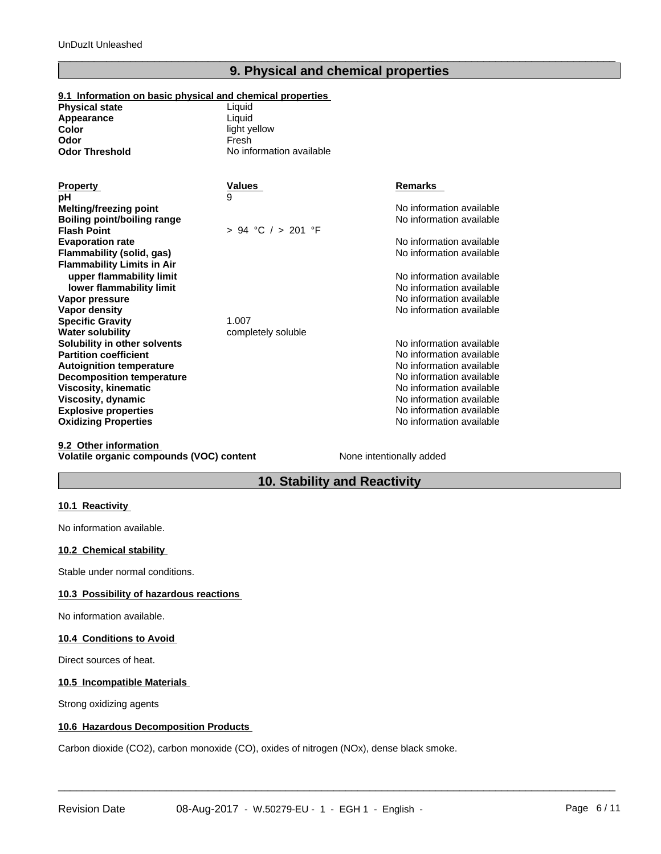# **9. Physical and chemical properties**

 $\overline{\phantom{a}}$  ,  $\overline{\phantom{a}}$  ,  $\overline{\phantom{a}}$  ,  $\overline{\phantom{a}}$  ,  $\overline{\phantom{a}}$  ,  $\overline{\phantom{a}}$  ,  $\overline{\phantom{a}}$  ,  $\overline{\phantom{a}}$  ,  $\overline{\phantom{a}}$  ,  $\overline{\phantom{a}}$  ,  $\overline{\phantom{a}}$  ,  $\overline{\phantom{a}}$  ,  $\overline{\phantom{a}}$  ,  $\overline{\phantom{a}}$  ,  $\overline{\phantom{a}}$  ,  $\overline{\phantom{a}}$ 

## **9.1 Information on basic physical and chemical properties**

| <b>Physical state</b> | Liauid                   |
|-----------------------|--------------------------|
| Appearance            | Liauid                   |
| Color                 | light yellow             |
| Odor                  | Fresh                    |
| Odor Threshold        | No information available |
|                       |                          |

| <b>Property</b>                   | Values                 | <b>Remarks</b>           |
|-----------------------------------|------------------------|--------------------------|
| рH                                | 9                      |                          |
| Melting/freezing point            |                        | No information available |
| Boiling point/boiling range       |                        | No information available |
| <b>Flash Point</b>                | $> 94$ °C $/ > 201$ °F |                          |
| <b>Evaporation rate</b>           |                        | No information available |
| Flammability (solid, gas)         |                        | No information available |
| <b>Flammability Limits in Air</b> |                        |                          |
| upper flammability limit          |                        | No information available |
| lower flammability limit          |                        | No information available |
| Vapor pressure                    |                        | No information available |
| Vapor density                     |                        | No information available |
| <b>Specific Gravity</b>           | 1.007                  |                          |
| <b>Water solubility</b>           | completely soluble     |                          |
| Solubility in other solvents      |                        | No information available |
| <b>Partition coefficient</b>      |                        | No information available |
| <b>Autoignition temperature</b>   |                        | No information available |
| <b>Decomposition temperature</b>  |                        | No information available |
| <b>Viscosity, kinematic</b>       |                        | No information available |
| Viscosity, dynamic                |                        | No information available |
| <b>Explosive properties</b>       |                        | No information available |
| <b>Oxidizing Properties</b>       |                        | No information available |
|                                   |                        |                          |

## **9.2 Other information Volatile organic compounds (VOC) content** None intentionally added

 $\overline{\phantom{a}}$  ,  $\overline{\phantom{a}}$  ,  $\overline{\phantom{a}}$  ,  $\overline{\phantom{a}}$  ,  $\overline{\phantom{a}}$  ,  $\overline{\phantom{a}}$  ,  $\overline{\phantom{a}}$  ,  $\overline{\phantom{a}}$  ,  $\overline{\phantom{a}}$  ,  $\overline{\phantom{a}}$  ,  $\overline{\phantom{a}}$  ,  $\overline{\phantom{a}}$  ,  $\overline{\phantom{a}}$  ,  $\overline{\phantom{a}}$  ,  $\overline{\phantom{a}}$  ,  $\overline{\phantom{a}}$ 

# **10. Stability and Reactivity**

## **10.1 Reactivity**

No information available.

## **10.2 Chemical stability**

Stable under normal conditions.

### **10.3 Possibility of hazardous reactions**

No information available.

## **10.4 Conditions to Avoid**

Direct sources of heat.

## **10.5 Incompatible Materials**

Strong oxidizing agents

## **10.6 Hazardous Decomposition Products**

Carbon dioxide (CO2), carbon monoxide (CO), oxides of nitrogen (NOx), dense black smoke.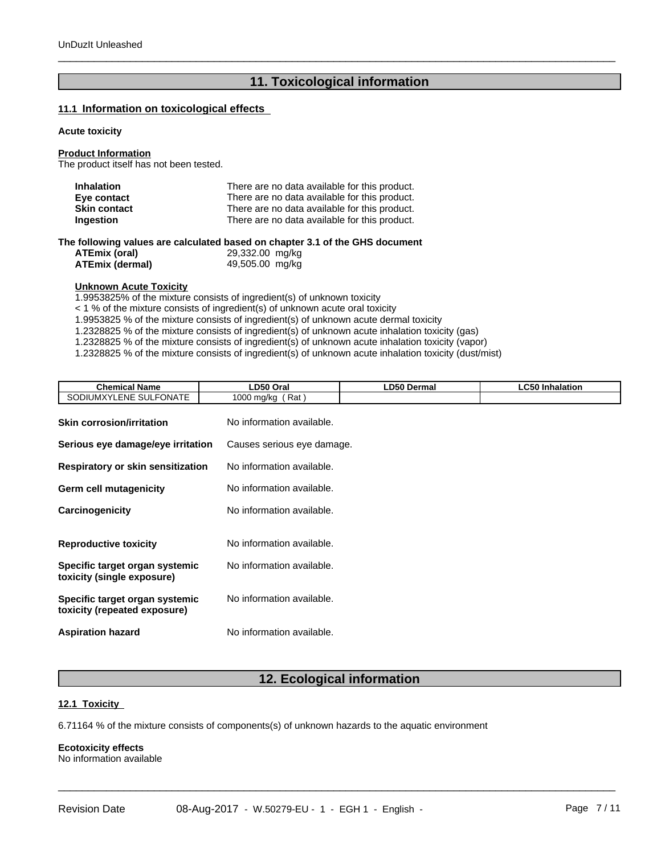# **11. Toxicological information**

 $\overline{\phantom{a}}$  ,  $\overline{\phantom{a}}$  ,  $\overline{\phantom{a}}$  ,  $\overline{\phantom{a}}$  ,  $\overline{\phantom{a}}$  ,  $\overline{\phantom{a}}$  ,  $\overline{\phantom{a}}$  ,  $\overline{\phantom{a}}$  ,  $\overline{\phantom{a}}$  ,  $\overline{\phantom{a}}$  ,  $\overline{\phantom{a}}$  ,  $\overline{\phantom{a}}$  ,  $\overline{\phantom{a}}$  ,  $\overline{\phantom{a}}$  ,  $\overline{\phantom{a}}$  ,  $\overline{\phantom{a}}$ 

### **11.1 Information on toxicological effects**

## **Acute toxicity**

#### **Product Information**

The product itself has not been tested.

| <b>Inhalation</b>   | There are no data available for this product.                               |
|---------------------|-----------------------------------------------------------------------------|
| Eye contact         | There are no data available for this product.                               |
| <b>Skin contact</b> | There are no data available for this product.                               |
| <b>Ingestion</b>    | There are no data available for this product.                               |
|                     | ho following values are saleulated based on chapter 2.1 of the CHS decument |

**The following values are calculated based on chapter 3.1 of the GHS document**

| ATEmix (oral)   | 29,332.00 mg/kg |  |
|-----------------|-----------------|--|
| ATEmix (dermal) | 49,505.00 mg/kg |  |

## **Unknown Acute Toxicity**

1.9953825% of the mixture consists of ingredient(s) of unknown toxicity

 $<$  1 % of the mixture consists of ingredient(s) of unknown acute oral toxicity

1.9953825 % of the mixture consists of ingredient(s) of unknown acute dermal toxicity

1.2328825 % of the mixture consists of ingredient(s) ofunknown acute inhalation toxicity (gas)

1.2328825 % of the mixture consists of ingredient(s) of unknown acute inhalation toxicity (vapor)

1.2328825 % of the mixture consists of ingredient(s) ofunknown acute inhalation toxicity (dust/mist)

| <b>Chemical Name</b>                                           | LD50 Oral                  | <b>LD50 Dermal</b> | <b>LC50 Inhalation</b> |
|----------------------------------------------------------------|----------------------------|--------------------|------------------------|
| SODIUMXYLENE SULFONATE                                         | 1000 mg/kg (Rat)           |                    |                        |
| <b>Skin corrosion/irritation</b>                               | No information available.  |                    |                        |
| Serious eye damage/eye irritation                              | Causes serious eye damage. |                    |                        |
| <b>Respiratory or skin sensitization</b>                       | No information available.  |                    |                        |
| Germ cell mutagenicity                                         | No information available.  |                    |                        |
| Carcinogenicity                                                | No information available.  |                    |                        |
| <b>Reproductive toxicity</b>                                   | No information available.  |                    |                        |
| Specific target organ systemic<br>toxicity (single exposure)   | No information available.  |                    |                        |
| Specific target organ systemic<br>toxicity (repeated exposure) | No information available.  |                    |                        |
| <b>Aspiration hazard</b>                                       | No information available.  |                    |                        |

# **12. Ecological information**

 $\overline{\phantom{a}}$  ,  $\overline{\phantom{a}}$  ,  $\overline{\phantom{a}}$  ,  $\overline{\phantom{a}}$  ,  $\overline{\phantom{a}}$  ,  $\overline{\phantom{a}}$  ,  $\overline{\phantom{a}}$  ,  $\overline{\phantom{a}}$  ,  $\overline{\phantom{a}}$  ,  $\overline{\phantom{a}}$  ,  $\overline{\phantom{a}}$  ,  $\overline{\phantom{a}}$  ,  $\overline{\phantom{a}}$  ,  $\overline{\phantom{a}}$  ,  $\overline{\phantom{a}}$  ,  $\overline{\phantom{a}}$ 

### **12.1 Toxicity**

6.71164 % of the mixture consists of components(s) of unknown hazards to the aquatic environment

#### **Ecotoxicity effects** No information available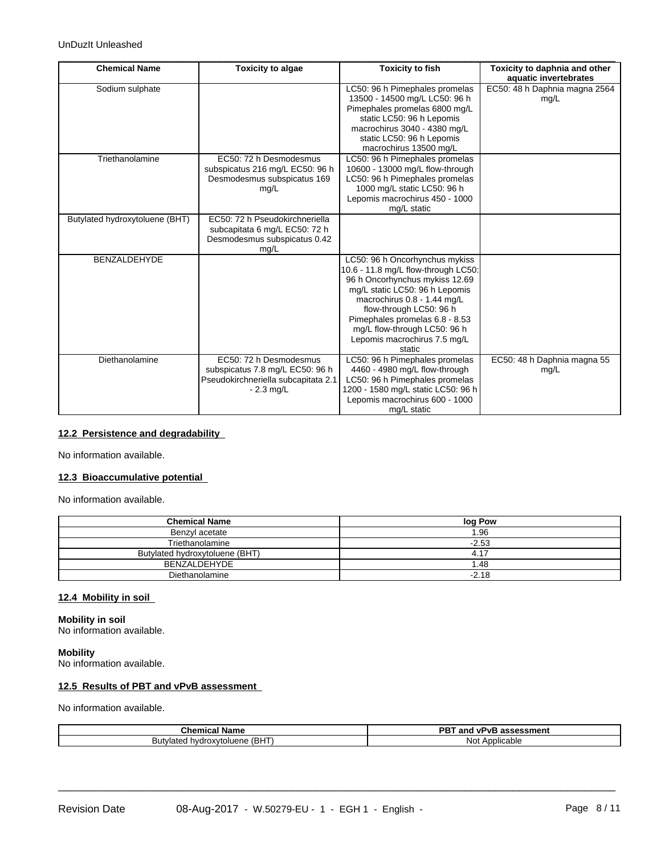| EC50: 48 h Daphnia magna 2564<br>Sodium sulphate<br>LC50: 96 h Pimephales promelas<br>13500 - 14500 mg/L LC50: 96 h<br>mg/L<br>Pimephales promelas 6800 mg/L<br>static LC50: 96 h Lepomis<br>macrochirus 3040 - 4380 mg/L<br>static LC50: 96 h Lepomis<br>macrochirus 13500 mg/L<br>Triethanolamine<br>EC50: 72 h Desmodesmus<br>LC50: 96 h Pimephales promelas<br>subspicatus 216 mg/L EC50: 96 h<br>10600 - 13000 mg/L flow-through<br>LC50: 96 h Pimephales promelas<br>Desmodesmus subspicatus 169<br>1000 mg/L static LC50: 96 h<br>mg/L<br>Lepomis macrochirus 450 - 1000<br>mg/L static<br>Butylated hydroxytoluene (BHT)<br>EC50: 72 h Pseudokirchneriella<br>subcapitata 6 mg/L EC50: 72 h<br>Desmodesmus subspicatus 0.42 |
|-------------------------------------------------------------------------------------------------------------------------------------------------------------------------------------------------------------------------------------------------------------------------------------------------------------------------------------------------------------------------------------------------------------------------------------------------------------------------------------------------------------------------------------------------------------------------------------------------------------------------------------------------------------------------------------------------------------------------------------|
|                                                                                                                                                                                                                                                                                                                                                                                                                                                                                                                                                                                                                                                                                                                                     |
|                                                                                                                                                                                                                                                                                                                                                                                                                                                                                                                                                                                                                                                                                                                                     |
|                                                                                                                                                                                                                                                                                                                                                                                                                                                                                                                                                                                                                                                                                                                                     |
|                                                                                                                                                                                                                                                                                                                                                                                                                                                                                                                                                                                                                                                                                                                                     |
|                                                                                                                                                                                                                                                                                                                                                                                                                                                                                                                                                                                                                                                                                                                                     |
|                                                                                                                                                                                                                                                                                                                                                                                                                                                                                                                                                                                                                                                                                                                                     |
|                                                                                                                                                                                                                                                                                                                                                                                                                                                                                                                                                                                                                                                                                                                                     |
|                                                                                                                                                                                                                                                                                                                                                                                                                                                                                                                                                                                                                                                                                                                                     |
|                                                                                                                                                                                                                                                                                                                                                                                                                                                                                                                                                                                                                                                                                                                                     |
|                                                                                                                                                                                                                                                                                                                                                                                                                                                                                                                                                                                                                                                                                                                                     |
|                                                                                                                                                                                                                                                                                                                                                                                                                                                                                                                                                                                                                                                                                                                                     |
|                                                                                                                                                                                                                                                                                                                                                                                                                                                                                                                                                                                                                                                                                                                                     |
|                                                                                                                                                                                                                                                                                                                                                                                                                                                                                                                                                                                                                                                                                                                                     |
|                                                                                                                                                                                                                                                                                                                                                                                                                                                                                                                                                                                                                                                                                                                                     |
|                                                                                                                                                                                                                                                                                                                                                                                                                                                                                                                                                                                                                                                                                                                                     |
| mg/L                                                                                                                                                                                                                                                                                                                                                                                                                                                                                                                                                                                                                                                                                                                                |
| BENZALDEHYDE<br>LC50: 96 h Oncorhynchus mykiss                                                                                                                                                                                                                                                                                                                                                                                                                                                                                                                                                                                                                                                                                      |
| 10.6 - 11.8 mg/L flow-through LC50:<br>96 h Oncorhynchus mykiss 12.69                                                                                                                                                                                                                                                                                                                                                                                                                                                                                                                                                                                                                                                               |
| mg/L static LC50: 96 h Lepomis                                                                                                                                                                                                                                                                                                                                                                                                                                                                                                                                                                                                                                                                                                      |
| macrochirus 0.8 - 1.44 mg/L                                                                                                                                                                                                                                                                                                                                                                                                                                                                                                                                                                                                                                                                                                         |
| flow-through LC50: 96 h                                                                                                                                                                                                                                                                                                                                                                                                                                                                                                                                                                                                                                                                                                             |
| Pimephales promelas 6.8 - 8.53                                                                                                                                                                                                                                                                                                                                                                                                                                                                                                                                                                                                                                                                                                      |
| mg/L flow-through LC50: 96 h                                                                                                                                                                                                                                                                                                                                                                                                                                                                                                                                                                                                                                                                                                        |
| Lepomis macrochirus 7.5 mg/L                                                                                                                                                                                                                                                                                                                                                                                                                                                                                                                                                                                                                                                                                                        |
| static                                                                                                                                                                                                                                                                                                                                                                                                                                                                                                                                                                                                                                                                                                                              |
| LC50: 96 h Pimephales promelas<br>EC50: 72 h Desmodesmus<br>EC50: 48 h Daphnia magna 55<br>Diethanolamine                                                                                                                                                                                                                                                                                                                                                                                                                                                                                                                                                                                                                           |
| subspicatus 7.8 mg/L EC50: 96 h<br>4460 - 4980 mg/L flow-through<br>mq/L                                                                                                                                                                                                                                                                                                                                                                                                                                                                                                                                                                                                                                                            |
| Pseudokirchneriella subcapitata 2.1<br>LC50: 96 h Pimephales promelas<br>1200 - 1580 mg/L static LC50: 96 h                                                                                                                                                                                                                                                                                                                                                                                                                                                                                                                                                                                                                         |
| $-2.3$ mg/L<br>Lepomis macrochirus 600 - 1000                                                                                                                                                                                                                                                                                                                                                                                                                                                                                                                                                                                                                                                                                       |
| mg/L static                                                                                                                                                                                                                                                                                                                                                                                                                                                                                                                                                                                                                                                                                                                         |

# **12.2 Persistence and degradability**

No information available.

## **12.3 Bioaccumulative potential**

No information available.

| <b>Chemical Name</b>           | log Pow |
|--------------------------------|---------|
| Benzvl acetate                 | 1.96    |
| Triethanolamine                | $-2.53$ |
| Butylated hydroxytoluene (BHT) | 4.17    |
| BENZALDEHYDE                   | 1.48    |
| Diethanolamine                 | $-2.18$ |

## **12.4 Mobility in soil**

**Mobility in soil** No information available.

**Mobility** No information available.

## **12.5 Results of PBT and vPvB assessment**

No information available.

| $\sim$<br>$-0.0000$<br>' Nam⊾<br>Chemical                           | DDT<br>and<br>ועכ<br>assessment<br>╺             |
|---------------------------------------------------------------------|--------------------------------------------------|
| $\sqrt{2}$<br>(BH<br>oluene<br>.<br>ur تاك<br>,,,,<br>$m$ die.<br>. | $\mathbf{v}$<br>Noi<br>$\mathbf{h}$<br>uauk<br>- |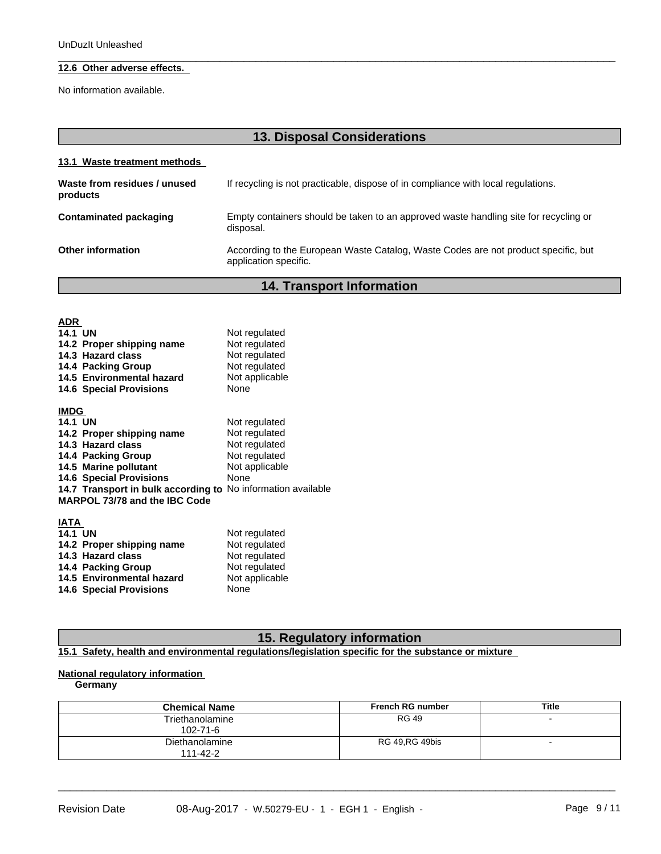# **12.6 Other adverse effects.**

No information available.

| <b>13. Disposal Considerations</b>       |                                                                                                             |  |  |  |
|------------------------------------------|-------------------------------------------------------------------------------------------------------------|--|--|--|
| 13.1 Waste treatment methods             |                                                                                                             |  |  |  |
| Waste from residues / unused<br>products | If recycling is not practicable, dispose of in compliance with local regulations.                           |  |  |  |
| Contaminated packaging                   | Empty containers should be taken to an approved waste handling site for recycling or<br>disposal.           |  |  |  |
| Other information                        | According to the European Waste Catalog, Waste Codes are not product specific, but<br>application specific. |  |  |  |
|                                          |                                                                                                             |  |  |  |

 $\overline{\phantom{a}}$  ,  $\overline{\phantom{a}}$  ,  $\overline{\phantom{a}}$  ,  $\overline{\phantom{a}}$  ,  $\overline{\phantom{a}}$  ,  $\overline{\phantom{a}}$  ,  $\overline{\phantom{a}}$  ,  $\overline{\phantom{a}}$  ,  $\overline{\phantom{a}}$  ,  $\overline{\phantom{a}}$  ,  $\overline{\phantom{a}}$  ,  $\overline{\phantom{a}}$  ,  $\overline{\phantom{a}}$  ,  $\overline{\phantom{a}}$  ,  $\overline{\phantom{a}}$  ,  $\overline{\phantom{a}}$ 

**14. Transport Information**

| <b>ADR</b>                                                   |                |
|--------------------------------------------------------------|----------------|
| <b>14.1 UN</b>                                               | Not regulated  |
| 14.2 Proper shipping name                                    | Not regulated  |
| 14.3 Hazard class                                            | Not regulated  |
| 14.4 Packing Group                                           | Not regulated  |
| 14.5 Environmental hazard                                    | Not applicable |
| <b>14.6 Special Provisions</b>                               | None           |
|                                                              |                |
| <b>IMDG</b><br><b>14.1 UN</b>                                |                |
|                                                              | Not regulated  |
| 14.2 Proper shipping name<br>14.3 Hazard class               | Not regulated  |
|                                                              | Not regulated  |
| 14.4 Packing Group                                           | Not regulated  |
| 14.5 Marine pollutant                                        | Not applicable |
| <b>14.6 Special Provisions</b>                               | <b>None</b>    |
| 14.7 Transport in bulk according to No information available |                |
| MARPOL 73/78 and the IBC Code                                |                |
| <b>IATA</b>                                                  |                |
| <b>14.1 UN</b>                                               | Not regulated  |
| 14.2 Proper shipping name                                    | Not regulated  |
| 14.3 Hazard class                                            | Not regulated  |
| 14.4 Packing Group                                           | Not regulated  |
| 14.5 Environmental hazard                                    | Not applicable |
| <b>14.6 Special Provisions</b>                               | None           |

# **15. Regulatory information**

**15.1 Safety, health and environmental regulations/legislation specific for the substance or mixture**

# **National regulatory information**

**Germany**

| <b>Chemical Name</b>              | <b>French RG number</b> | <b>Title</b>             |
|-----------------------------------|-------------------------|--------------------------|
| Triethanolamine<br>$102 - 71 - 6$ | <b>RG 49</b>            |                          |
| Diethanolamine<br>$111 - 42 - 2$  | RG 49, RG 49 bis        | $\overline{\phantom{0}}$ |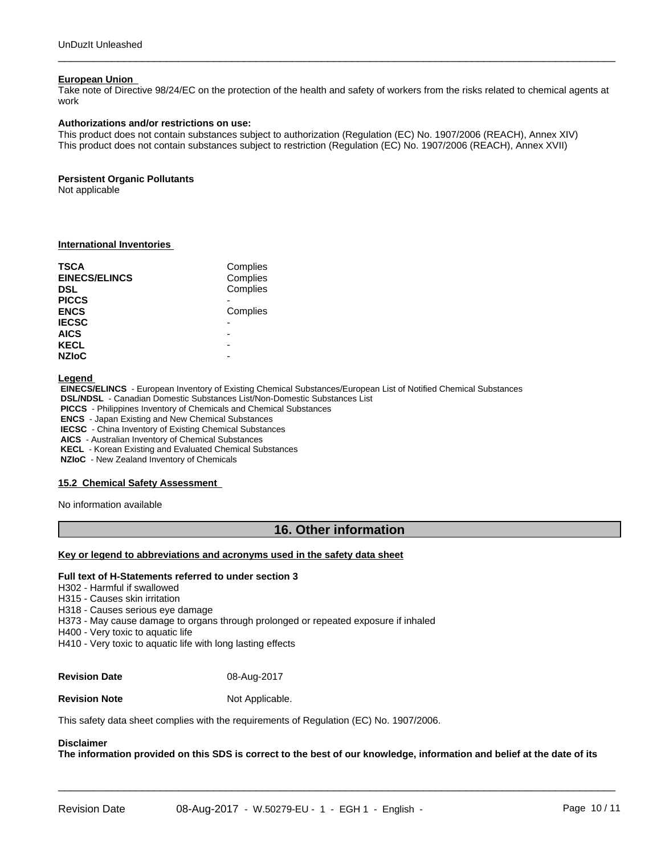#### **European Union**

Take note of Directive 98/24/EC on the protection of the health and safety of workers from the risks related to chemical agents at work

 $\overline{\phantom{a}}$  ,  $\overline{\phantom{a}}$  ,  $\overline{\phantom{a}}$  ,  $\overline{\phantom{a}}$  ,  $\overline{\phantom{a}}$  ,  $\overline{\phantom{a}}$  ,  $\overline{\phantom{a}}$  ,  $\overline{\phantom{a}}$  ,  $\overline{\phantom{a}}$  ,  $\overline{\phantom{a}}$  ,  $\overline{\phantom{a}}$  ,  $\overline{\phantom{a}}$  ,  $\overline{\phantom{a}}$  ,  $\overline{\phantom{a}}$  ,  $\overline{\phantom{a}}$  ,  $\overline{\phantom{a}}$ 

#### **Authorizations and/or restrictions on use:**

This product does not contain substances subject to authorization (Regulation (EC) No. 1907/2006 (REACH), Annex XIV) This product does not contain substances subject to restriction (Regulation (EC) No. 1907/2006 (REACH), Annex XVII)

#### **Persistent Organic Pollutants**

Not applicable

### **International Inventories**

| TSCA<br><b>EINECS/ELINCS</b><br><b>DSL</b> | Complies<br>Complies<br>Complies |  |
|--------------------------------------------|----------------------------------|--|
| <b>PICCS</b>                               |                                  |  |
| <b>ENCS</b>                                | Complies                         |  |
| <b>IECSC</b>                               |                                  |  |
| <b>AICS</b>                                | -                                |  |
| <b>KECL</b>                                | -                                |  |
| <b>NZIoC</b>                               | -                                |  |

**Legend** 

 **EINECS/ELINCS** - European Inventory of Existing Chemical Substances/European List of Notified Chemical Substances

 **DSL/NDSL** - Canadian Domestic Substances List/Non-Domestic Substances List

 **PICCS** - Philippines Inventory of Chemicals and Chemical Substances

 **ENCS** - Japan Existing and New Chemical Substances

 **IECSC** - China Inventory of Existing Chemical Substances

 **AICS** - Australian Inventory of Chemical Substances

 **KECL** - Korean Existing and Evaluated Chemical Substances

 **NZIoC** - New Zealand Inventory of Chemicals

#### **15.2 Chemical Safety Assessment**

No information available

## **16. Other information**

## **Key or legend to abbreviations and acronyms used in the safety data sheet**

#### **Full text of H-Statements referred to undersection 3**

H302 - Harmful if swallowed

H315 - Causes skin irritation

H318 - Causes serious eye damage

H373 - May cause damage to organs through prolonged or repeated exposure if inhaled

H400 - Very toxic to aquatic life

H410 - Very toxic to aquatic life with long lasting effects

## **Revision Date** 08-Aug-2017

**Revision Note** Not Applicable.

This safety data sheet complies with the requirements of Regulation (EC) No. 1907/2006.

## **Disclaimer**

The information provided on this SDS is correct to the best of our knowledge, information and belief at the date of its